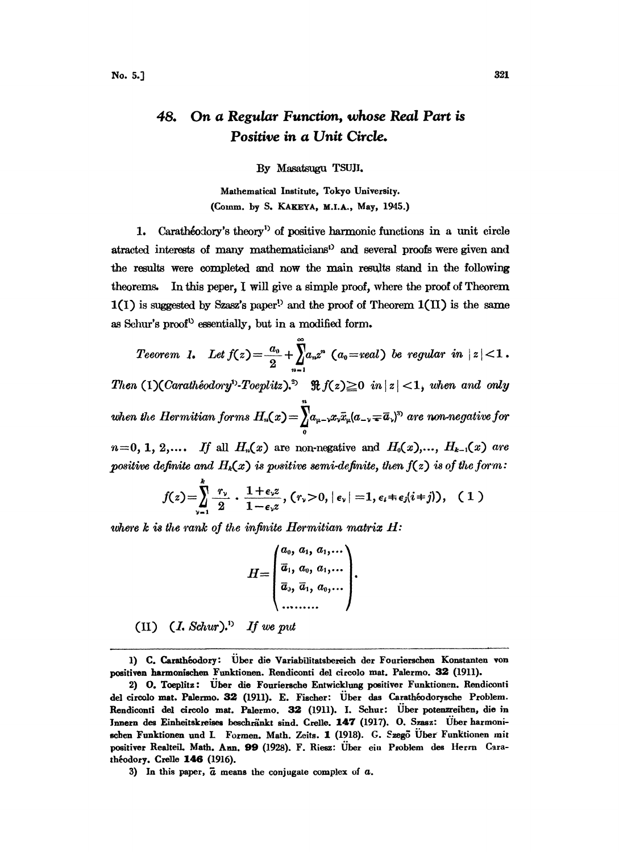## 48. On a Regular Function, whose Real Part is Positive in a Unit Circle.

By Masatsugu TSUJI.

Mathematical Institute, Tokyo University. (Comm. by S. KAKEYA, M.I.A., May, 1945.)

1. Carathéodory's theory<sup>1</sup> of positive harmonic functions in a unit circle atracted interests of many mathematicians<sup>1</sup> and several proofs were given and the results were completed and now the main results stand in the following theorems. In this peper, I will give a simple proof, where the proof of Theorem  $1(1)$  is suggested by Szasz's paper<sup>1</sup> and the proof of Theorem  $1(11)$  is the same as Schur's proof<sup>t</sup> essentially, but in a modified form.

Teeorem 1. Let  $f(z) = \frac{a_0}{2} + \prod_{n=1}^{\infty} a_n z^n$  ( $a_0 = real$ ) be regular in  $|z| < 1$ . Then (1)(Carathéodory<sup>1</sup>)-Toeplitz).<sup>2</sup>  $\Re f(z) \ge 0$  in  $|z| < 1$ , when and only when the Hermitian forms  $H_n(x) = \int_{0}^{\infty} a_{\mu-x} x_v \bar{x}_{\mu} (a_{-\nu} \mp \bar{a}_{\nu})^2$  are non-negative for  $n=0, 1, 2, \ldots$  If all  $H_n(x)$  are non-negative and  $H_0(x), \ldots, H_{k-1}(x)$  are

positive definite and  $H_k(x)$  is positive semi-definite, then  $f(z)$  is of the form:

$$
f(z) = \sum_{\nu=1}^{\infty} \frac{r_{\nu}}{2} \cdot \frac{1+\epsilon_{\nu}z}{1-\epsilon_{\nu}z}, (\rvert \nu > 0, |\epsilon_{\nu}| = 1, \epsilon_{\iota} \pm \epsilon_{\jmath} (i \pm j)), \quad (1)
$$

where  $k$  is the rank of the infinite Hermitian matrix  $H$ :

$$
H = \begin{pmatrix} a_0, a_1, a_1, \ldots \\ \overline{a}_1, a_0, a_1, \ldots \\ \overline{a}_3, \overline{a}_1, a_0, \ldots \\ \ldots \ldots \ldots \end{pmatrix}.
$$

(II)  $(I. Schur)^{1}$  If we put

<sup>1)</sup> C. Carathéodory: Über die Variabilitatsbereich der Fourierschen Konstanten von positiven harmonischen Funktionen. Rendiconti del circolo mat. Palermo. 32 (1911).

<sup>2)</sup> O. Toeplitz: Über die Fouriersche Entwicklung positiver Funktionen. Rendiconti del circolo mat. Palermo. 32 (1911). E. Fischer: Über das Carathéodorysche Problem. Rendiconti del circolo mat. Palermo. 32 (1911). I. Schur: Über potenzreihen, die in Innern des Einheitskreises beschränkt sind, Crelle, 147 (1917). O. Szasz: Über harmonischen Funktionen und I. Formen. Math. Zeits. 1 (1918). G. Szegő Über Funktionen mit positiver Realteil, Math, Ann. 99 (1928). F. Riesz: Über ein Problem des Herrn Carathéodory. Crelle 146 (1916).

<sup>3)</sup> In this paper,  $\overline{a}$  means the conjugate complex of  $a$ .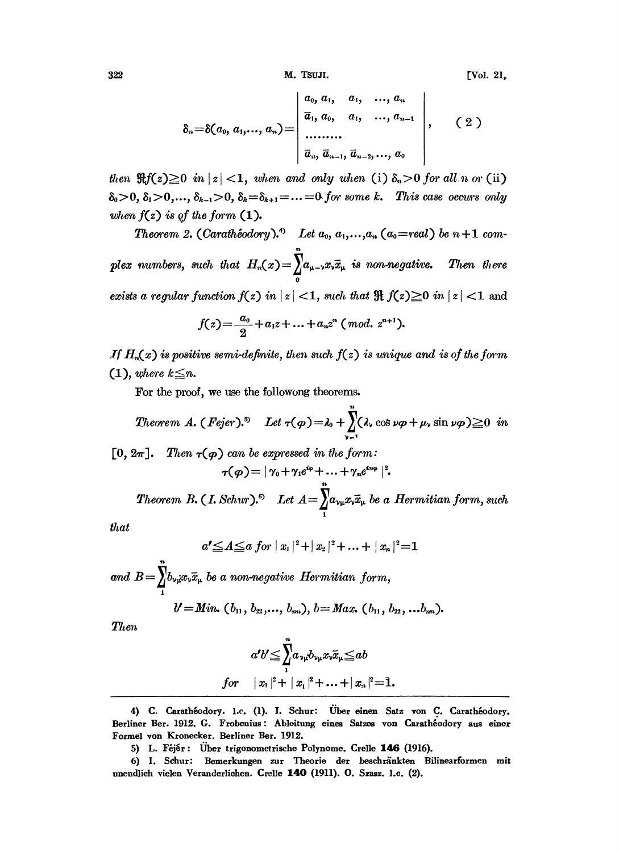M. TSUJI.

[Vol. 21.

$$
\delta_n = \delta(a_0, a_1, ..., a_n) = \begin{vmatrix} a_0, a_1, a_1, ..., a_n \\ \overline{a}_1, a_0, a_1, ..., a_{n-1} \\ \dots & \dots & \vdots \\ \overline{a}_n, \overline{a}_{n-1}, \overline{a}_{n-2}, ..., a_0 \end{vmatrix}, \quad (2)
$$

then  $\Re f(z) \geq 0$  in  $|z| < 1$ , when and only when (i)  $\delta_n > 0$  for all n or (ii)  $\delta_0 > 0$ ,  $\delta_1 > 0, \ldots, \delta_{k-1} > 0$ ,  $\delta_k = \delta_{k+1} = \ldots = 0$  for some k. This case occurs only when  $f(z)$  is of the form  $(1)$ .

Theorem 2. (Carathéodory).<sup>4)</sup> Let  $a_0, a_1,...,a_n$  ( $a_0$ =real) be  $n+1$  complex numbers, such that  $H_n(x) = \int_a^{\infty} a_{\mu-\nu} x_{\nu} \bar{x}_{\mu}$  is non-negative. Then there exists a regular function  $f(z)$  in  $|z| < 1$ , such that  $\Re f(z) \ge 0$  in  $|z| < 1$  and

$$
f(z) = \frac{a_0}{2} + a_1 z + \ldots + a_n z^n \; (mod. \; z^{n+1}).
$$

If  $H_n(x)$  is positive semi-definite, then such  $f(z)$  is unique and is of the form  $(1)$ , where  $k\leq n$ .

For the proof, we use the followong theorems.

*Theorem A.* (*Fejer*).<sup>5</sup> Let 
$$
\tau(\varphi) = \lambda_0 + \sum_{\nu=1}^{\nu} (\lambda_\nu \cos \nu \varphi + \mu_\nu \sin \nu \varphi) \ge 0
$$
 in

[0,  $2\pi$ ]. Then  $\tau(\varphi)$  can be expressed in the form:  $\tau(\varphi) = |\gamma_0 + \gamma_1 e^{i\varphi} + ... + \gamma_n e^{i n \varphi}|^2.$ 

Theorem B. (I. Schur).<sup>6</sup> Let  $A = \int_{1}^{n} a_{\nu\mu} x_{\nu} \bar{x}_{\mu}$  be a Hermitian form, such

that

$$
a' \leq A \leq a \ for \ |x_1|^2 + |x_2|^2 + \ldots + |x_n|^2 = 1
$$

and  $B=\sum_{\mu}b_{\nu\mu}x_{\nu}\bar{x}_{\mu}$  be a non-negative Hermitian form,

$$
b'=Min. (b_{11}, b_{22},..., b_{nn}), b=Max. (b_{11}, b_{22},...b_{nn}).
$$

Then

$$
\begin{aligned}\na'b' &\leq \sum_{1}^{n} a_{\nu\mu} b_{\nu\mu} x_{\nu} \overline{x}_{\mu} \leq ab \\
for \quad |x_1|^2 + |x_1|^2 + \ldots + |x_n|^2 = 1.\n\end{aligned}
$$

<sup>4)</sup> C. Carathéodory. 1.c. (1). I. Schur: Über einen Satz von C. Carathéodory. Berliner Ber. 1912. G. Frobenius: Ableitung eines Satzes von Carathéodory aus einer Formel von Kronecker. Berliner Ber. 1912.

<sup>5)</sup> L. Féjér: Über trigonometrische Polynome. Crelle 146 (1916).

<sup>6)</sup> I. Schur: Bemerkungen zur Theorie der beschränkten Bilinearformen mit unendlich vielen Veranderlichen. Crelle 140 (1911). O. Szasz. 1.c. (2).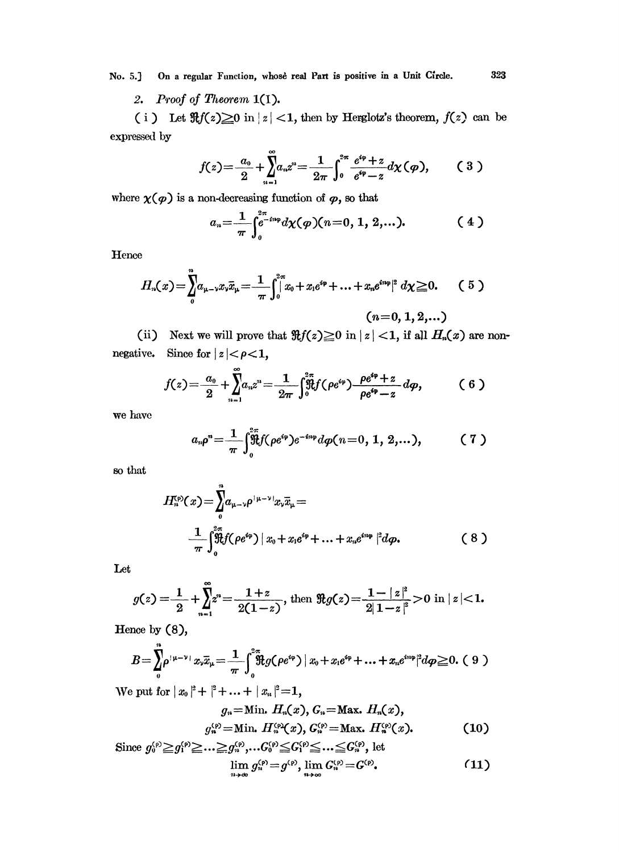On a regular Function, whose real Part is positive in a Unit Circle. No. 5.]

2. Proof of Theorem  $1(1)$ .

(i) Let  $\Re f(z) \ge 0$  in  $|z| < 1$ , then by Herglotz's theorem,  $f(z)$  can be expressed by

$$
f(z) = \frac{a_0}{2} + \sum_{n=1}^{\infty} a_n z^n = \frac{1}{2\pi} \int_0^{2\pi} \frac{e^{i\varphi} + z}{e^{i\varphi} - z} d\chi(\varphi), \qquad (3)
$$

where  $\chi(\varphi)$  is a non-decreasing function of  $\varphi$ , so that

$$
a_n = \frac{1}{\pi} \int_0^{2\pi} e^{-in\varphi} d\chi(\varphi)(n=0, 1, 2, ...).
$$
 (4)

Hence

$$
H_n(x) = \int_0^n a_{\mu-\nu} x_\nu \bar{x}_\mu = \frac{1}{\pi} \int_0^{2\pi} x_0 + x_1 e^{i\varphi} + \ldots + x_n e^{in\varphi}|^2 d\chi \ge 0. \qquad (5)
$$
  
 $(n=0, 1, 2, ...)$ 

(ii) Next we will prove that  $\Re f(z) \ge 0$  in  $|z| < 1$ , if all  $H_n(x)$  are nonnegative. Since for  $|z| < \rho < 1$ ,

$$
f(z) = \frac{a_0}{2} + \sum_{n=1}^{\infty} a_n z^n = \frac{1}{2\pi} \int_0^2 \hat{f}_0^2 f(\rho e^{i\varphi}) \frac{\rho e^{i\varphi} + z}{\rho e^{i\varphi} - z} d\varphi, \qquad (6)
$$

we have

$$
a_n \rho^n = \frac{1}{\pi} \int_0^{\frac{2\pi}{3}} f(\rho e^{i\varphi}) e^{-i n \varphi} d\rho(n=0, 1, 2, ...), \qquad (7)
$$

so that

$$
H_n^{\text{(p)}}(x) = \int_0^2 a_{\mu-\nu} \rho^{(\mu-\nu)} x_\nu \bar{x}_\mu =
$$
  

$$
\frac{1}{\pi} \int_0^{2\pi} \hat{f}(\rho e^{i\varphi}) |x_0 + x_1 e^{i\varphi} + ... + x_n e^{i n \varphi}|^2 d\varphi.
$$
 (8)

Let

$$
g(z) = \frac{1}{2} + \sum_{n=1}^{\infty} z^n = \frac{1+z}{2(1-z)}, \text{ then } \Re g(z) = \frac{1-|z|^2}{2|1-z|^2} > 0 \text{ in } |z| < 1.
$$

Hence by  $(8)$ ,

$$
B=\int_{0}^{\eta}\!\!\rho^{\frac{1}{2}\mu-\nu_{\frac{1}{2}}}\,x_{\nu}\overline{x}_{\mu}=\frac{1}{\pi}\int_{0}^{2\pi}\!\!\Re g(\rho e^{i\varphi})\,|\,x_{0}+x_{1}e^{i\varphi}+\ldots+x_{n}e^{in\varphi}|^{2}d\varphi\geqq0. \ (9)
$$

We put for  $|x_0|^2 + |x_1|^2 + ... + |x_n|^2 = 1$ ,

$$
g_n = \text{Min. } H_n(x), G_n = \text{Max. } H_n(x),
$$
  

$$
g_n^{(p)} = \text{Min. } H_n^{(p)}(x), G_n^{(p)} = \text{Max. } H_n^{(p)}(x).
$$
 (10)

Since 
$$
g_0^{(\rho)} \ge g_1^{(\rho)} \ge \dots \ge g_n^{(\rho)}, \dots G_0^{(\rho)} \le G_1^{(\rho)} \le \dots \le G_n^{(\rho)},
$$
 let  
\n
$$
\lim_{n \to \infty} g_n^{(\rho)} = g^{(\rho)}, \lim_{n \to \infty} G_n^{(\rho)} = G^{(\rho)}.
$$
\n(11)

323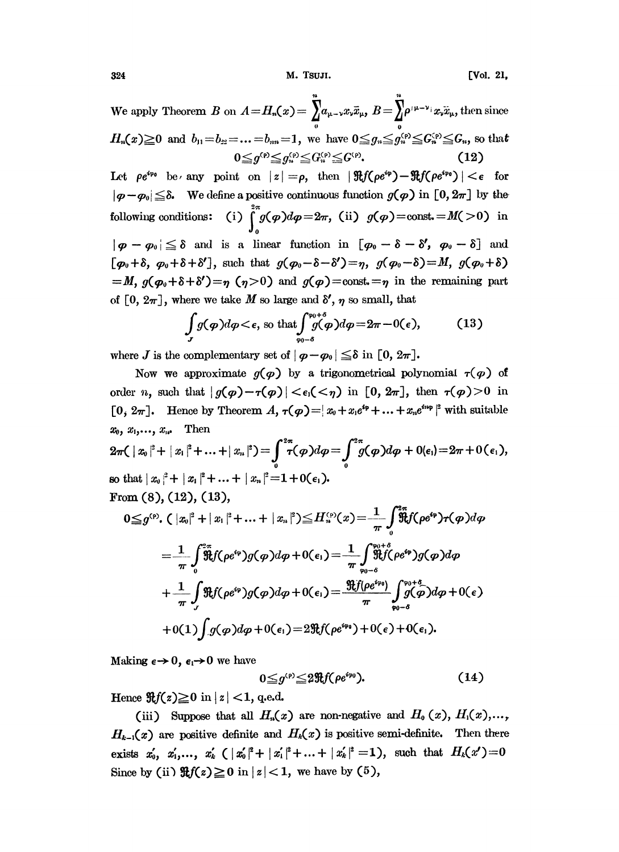We apply Theorem B on  $A=H_n(x)=\sum_{\mu=-\infty}^{\infty}a_{\mu-\nu}x_{\nu}\bar{x}_{\mu}, B=\sum_{\mu}^{\infty}e^{(\mu-\nu)}x_{\nu}\bar{x}_{\mu}$ , then since  $H_n(x) \ge 0$  and  $b_{11} = b_{22} = ... = b_{nn} = 1$ , we have  $0 \le g_n \le g_n^{(p)} \le G_n^{(p)} \le G_n$ , so that  $0 \leq q^{(p)} \leq q^{(p)}_n \leq G^{(p)}_n \leq G^{(p)}$ .

Let  $\rho e^{i\varphi_0}$  be any point on  $|z| = \rho$ , then  $|\Re f(\rho e^{i\varphi}) - \Re f(\rho e^{i\varphi_0})| < \epsilon$  for  $|\varphi - \varphi_0| \leq \delta$ . We define a positive continuous function  $g(\varphi)$  in  $[0, 2\pi]$  by the following conditions: (i)  $\int_{0}^{2\pi} g(\varphi) d\varphi = 2\pi$ , (ii)  $g(\varphi) = \text{const.} = M(>0)$  in  $|\varphi - \varphi_0| \leq \delta$  and is a linear function in  $[\varphi_0 - \delta - \delta', \varphi_0 - \delta]$  and  $[\varphi_0 + \delta, \varphi_0 + \delta + \delta'],$  such that  $g(\varphi_0 - \delta - \delta') = \eta$ ,  $g(\varphi_0 - \delta) = M$ ,  $g(\varphi_0 + \delta)$  $=M, g(\varphi_0+\delta+\delta')=\eta (\eta>0)$  and  $g(\varphi)=\text{const.}=\eta$  in the remaining part of [0,  $2\pi$ ], where we take M so large and  $\delta'$ ,  $\eta$  so small, that

$$
\int\limits_{J} g(\boldsymbol{\varphi}) d\boldsymbol{\varphi} < \epsilon, \text{ so that } \int\limits_{\varphi_0 - \delta}^{\varphi_0 + \delta} g(\boldsymbol{\varphi}) d\boldsymbol{\varphi} = 2\pi - 0(\epsilon), \tag{13}
$$

where J is the complementary set of  $|\varphi - \varphi_0| \leq \delta$  in  $[0, 2\pi]$ .

Now we approximate  $g(\varphi)$  by a trigonometrical polynomial  $\tau(\varphi)$  of order *n*, such that  $|g(\varphi) - \tau(\varphi)| < \epsilon_1 < \tau_1$  in [0,  $2\pi$ ], then  $\tau(\varphi) > 0$  in  $[0, 2\pi]$ . Hence by Theorem A,  $\tau(\varphi) = |x_0 + x_1 e^{i\varphi} + ... + x_n e^{i n \varphi}|^2$  with suitable  ${\bf Then}$  $x_0, x_1, \ldots, x_n$ 

$$
2\pi ( |x_0|^2 + |x_1|^2 + ... + |x_n|^2) = \int_0^{2\pi} \tau(\varphi) d\varphi = \int_0^{2\pi} \tilde{g}(\varphi) d\varphi + 0 \quad (e_1) = 2\pi + 0 \quad (\epsilon_1),
$$
  
so that  $|x_0|^2 + |x_1|^2 + ... + |x_n|^2 = 1 + 0 \quad (\epsilon_1).$   
From (8), (12), (13),

$$
0 \leq g^{(p)} \cdot ( |x_0|^2 + |x_1|^2 + ... + |x_n|^2) \leq H_n^{(p)}(x) = \frac{1}{\pi} \int_0^{2\pi} \mathfrak{F} f(\rho e^{i\varphi}) \tau(\varphi) d\varphi
$$
  
\n
$$
= \frac{1}{\pi} \int_0^{2\pi} \mathfrak{F} f(\rho e^{i\varphi}) g(\varphi) d\varphi + 0(\epsilon_1) = \frac{1}{\pi} \int_{\varphi_0 - \delta}^{\varphi_0 + \delta} \mathfrak{F} f(\rho e^{i\varphi}) g(\varphi) d\varphi
$$
  
\n
$$
+ \frac{1}{\pi} \int_{J} \mathfrak{F} f(\rho e^{i\varphi}) g(\varphi) d\varphi + 0(\epsilon_1) = \frac{\mathfrak{F} f(\rho e^{i\varphi_0})}{\pi} \int_{\varphi_0 - \delta}^{\varphi_0 + \delta} g(\varphi) d\varphi + 0(\epsilon)
$$
  
\n
$$
+ 0(1) \int_{J} g(\varphi) d\varphi + 0(\epsilon_1) = 2 \mathfrak{F} f(\rho e^{i\varphi_0}) + 0(\epsilon) + 0(\epsilon_1).
$$

Making  $\epsilon \rightarrow 0$ ,  $\epsilon_1 \rightarrow 0$  we have

$$
0 \leq g^{(p)} \leq 2 \Re f(\rho e^{ip_0}). \tag{14}
$$

Hence  $\Re f(z) \ge 0$  in  $|z| < 1$ , q.e.d.

(iii) Suppose that all  $H_n(x)$  are non-negative and  $H_0(x)$ ,  $H_1(x)$ ,...,  $H_{k-1}(x)$  are positive definite and  $H_k(x)$  is positive semi-definite. Then there exists  $x'_0, x'_1, ..., x'_k$  (  $|x'_0|^2 + |x'_1|^2 + ... + |x'_k|^2 = 1$ ), such that  $H_k(x') = 0$ Since by (ii)  $\Re f(z) \ge 0$  in  $|z| < 1$ , we have by (5),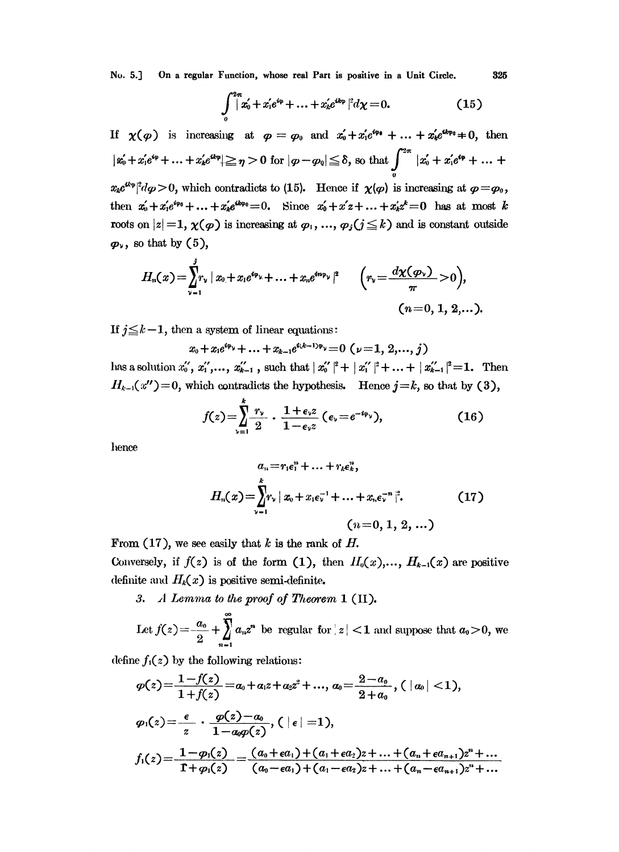No. 5.] On a regular Function, whose real Part is positive in a Unit Circle. 325

$$
\int_{0}^{2\pi} |x'_0 + x'_1 e^{i\varphi} + \ldots + x'_k e^{ik\varphi}|^2 d\chi = 0.
$$
 (15)

If  $\chi(\varphi)$  is increasing at  $\varphi = \varphi_0$  and  $x'_0 + x'_1e^{i\varphi_0} + \ldots + x'_k e^{i k \varphi_0} \neq 0$ , then  $\|x'_0 + x'_1 e^{i\varphi} + ... + x'_k e^{ik\varphi}\| \geq \eta > 0$  for  $|\varphi - \varphi_0| \leq \delta$ , so that  $\int_{-\infty}^{2\pi} |x'_0 + x'_1 e^{i\varphi} + ...$  $x_k e^{u_{\varphi}}|^2 d\varphi > 0$ , which contradicts to (15). Hence if  $\chi(\varphi)$  is increasing at  $\varphi = \varphi_0$ , then  $x_0' + x_1'e^{i\varphi_0} + ... + x_k'e^{ik\varphi_0} = 0$ . Since  $x_0' + x_1'z + ... + x_k'z^k = 0$  has at most k roots on  $|z|=1$ ,  $\chi(\varphi)$  is increasing at  $\varphi_1, ..., \varphi_j$  ( $j \leq k$ ) and is constant outside  $\varphi_{v}$ , so that by  $(5)$ ,

$$
H_n(x) = \sum_{\nu=1}^j r_\nu \, | \, x_0 + x_1 e^{i\varphi_\nu} + \ldots + x_n e^{i n \varphi_\nu} \, |^2 \qquad \Big( r_\nu \! = \! \frac{d\chi(\varphi_\nu)}{\pi} \! > \! 0 \Big),
$$
  
\n
$$
(n\! = \! 0, 1, 2, \ldots).
$$

If  $j \leq k-1$ , then a system of linear equations:

 $x_0+x_1e^{i\varphi_y}+\ldots+x_{k-1}e^{i(k-1)\varphi_y}=0$   $(\nu=1, 2, \ldots, j)$  $H_{k-1}(x'')=0$ , which contradicts the hypothesis. Hence  $j=k$ , so that by (3),

$$
f(z) = \sum_{\nu=1}^{k} \frac{r_{\nu}}{2} \cdot \frac{1 + \epsilon_{\nu} z}{1 - \epsilon_{\nu} z} \left( \epsilon_{\nu} = e^{-i\varphi_{\nu}} \right), \tag{16}
$$

lence

$$
a_{n} = r_{1}\epsilon_{1}^{n} + \ldots + r_{k}\epsilon_{k}^{n},
$$
\n
$$
H_{n}(x) = \sum_{\nu=1}^{k} r_{\nu} | x_{0} + x_{1}\epsilon_{\nu}^{-1} + \ldots + x_{n}\epsilon_{\nu}^{-n} |^{2}. \qquad (17)
$$
\n
$$
(n = 0, 1, 2, \ldots)
$$

From  $(17)$ , we see easily that k is the rank of H.

Conversely, if  $f(z)$  is of the form (1), then  $H_0(x),..., H_{k-1}(x)$  are positive definite and  $H_k(x)$  is positive semi-definite.

3. A Lemma to the proof of Theorem  $1$  (11).

Let 
$$
f(z) = \frac{a_0}{2} + \sum_{n=1}^{\infty} a_n z^n
$$
 be regular for  $|z| < 1$  and suppose that  $a_0 > 0$ , we

define  $f_1(z)$  by the following relations:

$$
\varphi(z) = \frac{1 - f(z)}{1 + f(z)} = a_0 + a_1 z + a_2 z^2 + \dots, a_0 = \frac{2 - a_0}{2 + a_0}, (\mid a_0 \mid < 1),
$$
\n
$$
\varphi_1(z) = \frac{\epsilon}{z} \cdot \frac{\varphi(z) - a_0}{1 - a_0 \varphi(z)}, (\mid \epsilon \mid = 1),
$$
\n
$$
f_1(z) = \frac{1 - \varphi_1(z)}{1 + \varphi_1(z)} = \frac{(a_0 + \epsilon a_1) + (a_1 + \epsilon a_2)z + \dots + (a_n + \epsilon a_{n+1})z^n + \dots}{(a_0 - \epsilon a_1) + (a_1 - \epsilon a_2)z + \dots + (a_n - \epsilon a_{n+1})z^n + \dots}
$$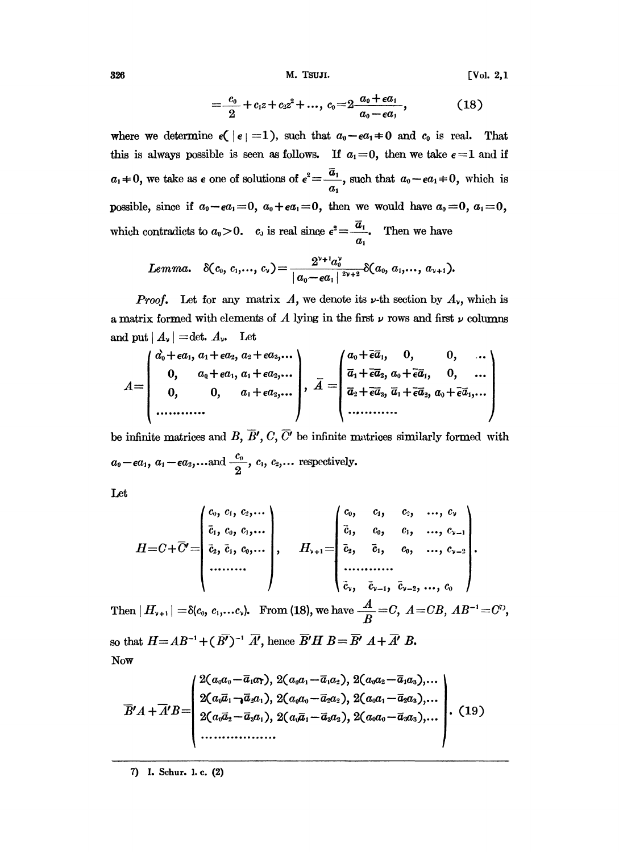M. TSUJI.

 $[Vol. 2, 1]$ 

$$
=\frac{c_0}{2}+c_1z+c_2z^2+\ldots, c_0=2\frac{a_0+\epsilon a_1}{a_0-\epsilon a_1}, \hspace{1.5cm} (18)
$$

where we determine  $\epsilon(|\epsilon|=1)$ , such that  $a_0-\epsilon a_1\neq 0$  and  $c_0$  is real. That this is always possible is seen as follows. If  $a_1=0$ , then we take  $\epsilon=1$  and if  $a_1 \neq 0$ , we take as  $\epsilon$  one of solutions of  $\epsilon^2 = \frac{\overline{a}_1}{a_1}$ , such that  $a_0 - \epsilon a_1 \neq 0$ , which is possible, since if  $a_0 - \epsilon a_1 = 0$ ,  $a_0 + \epsilon a_1 = 0$ , then we would have  $a_0 = 0$ ,  $a_1 = 0$ , which contradicts to  $a_0 > 0$ .  $c_0$  is real since  $e^2 = \frac{\overline{a}_1}{a_0}$ . Then we have

$$
Lemma. \quad \delta(c_0, c_1,..., c_\nu) = \frac{2^{\nu+1}a_0^{\nu}}{|a_0-\epsilon a_1|^\frac{2\nu+2}{2\nu+2}}\delta(a_0, a_1,..., a_{\nu+1}).
$$

**Proof.** Let for any matrix A, we denote its  $\nu$ -th section by  $A_{\nu}$ , which is a matrix formed with elements of A lying in the first  $\nu$  rows and first  $\nu$  columns and put  $|A_{\nu}|$  = det.  $A_{\nu}$ . Let

$$
A = \begin{pmatrix} \overrightarrow{a_0} + \epsilon a_1, \ a_1 + \epsilon a_2, \ a_2 + \epsilon a_3, \dots \\ 0, \quad a_0 + \epsilon a_1, \ a_1 + \epsilon a_2, \dots \\ 0, \quad 0, \quad a_1 + \epsilon a_2, \dots \end{pmatrix}, \ \overline{A} = \begin{pmatrix} a_0 + \overline{\epsilon} \overline{a}_1, \quad 0, \quad 0, \quad \dots \\ \overline{a}_1 + \overline{\epsilon} \overline{a}_2, \ a_0 + \overline{\epsilon} \overline{a}_1, \quad 0, \quad \dots \\ \overline{a}_2 + \overline{\epsilon} \overline{a}_3, \ \overline{a}_1 + \overline{\epsilon} \overline{a}_2, \ a_0 + \overline{\epsilon} \overline{a}_1, \dots \end{pmatrix}
$$

be infinite matrices and B,  $\overline{B}'$ , C,  $\overline{C}'$  be infinite matrices similarly formed with  $a_0-\epsilon a_1, a_1-\epsilon a_2,...$  and  $\frac{c_0}{2}, c_1, c_2,...$  respectively.

Let

$$
H = C + \overline{C}' = \begin{pmatrix} c_0, & c_1, & c_2, & \cdots \\ \overline{c}_1, & c_0, & c_1, & \cdots \\ \overline{c}_2, & \overline{c}_1, & c_0, & \cdots \\ \cdots & \cdots & \cdots & \cdots \end{pmatrix}, \qquad H_{\nu+1} = \begin{pmatrix} c_0, & c_1, & c_2, & \cdots, & c_{\nu} \\ \overline{c}_1, & c_0, & c_1, & \cdots, & c_{\nu-1} \\ \overline{c}_2, & \overline{c}_1, & c_0, & \cdots, & c_{\nu-2} \\ \cdots & \cdots & \cdots & \cdots & \cdots \\ \overline{c}_{\nu}, & \overline{c}_{\nu-1}, & \overline{c}_{\nu-2}, & \cdots, & c_0 \end{pmatrix}.
$$

Then  $|H_{v+1}| = \delta(c_0, c_1,...c_v)$ . From (18), we have  $\frac{A}{B} = C$ ,  $A = CB$ ,  $AB^{-1} = C^D$ ,

so that  $H = AB^{-1} + (B^{T})^{-1} \overline{A'}$ , hence  $\overline{B'}H B = \overline{B'} A + \overline{A'} B$ . Now

$$
\overline{B'A} + \overline{A'B} = \begin{pmatrix} 2(a_0a_0 - \overline{a}_1a_7), 2(a_0a_1 - \overline{a}_1a_2), 2(a_0a_2 - \overline{a}_1a_3), \dots \\ 2(a_0\overline{a}_1 - \overline{a}_2a_1), 2(a_0a_0 - \overline{a}_2a_2), 2(a_0a_1 - \overline{a}_2a_3), \dots \\ 2(a_0\overline{a}_2 - \overline{a}_3a_1), 2(a_0\overline{a}_1 - \overline{a}_3a_2), 2(a_0a_0 - \overline{a}_3a_3), \dots \\ \dots & \dots & \dots & \dots \end{pmatrix} . (19)
$$

7) I. Schur. l.c. (2)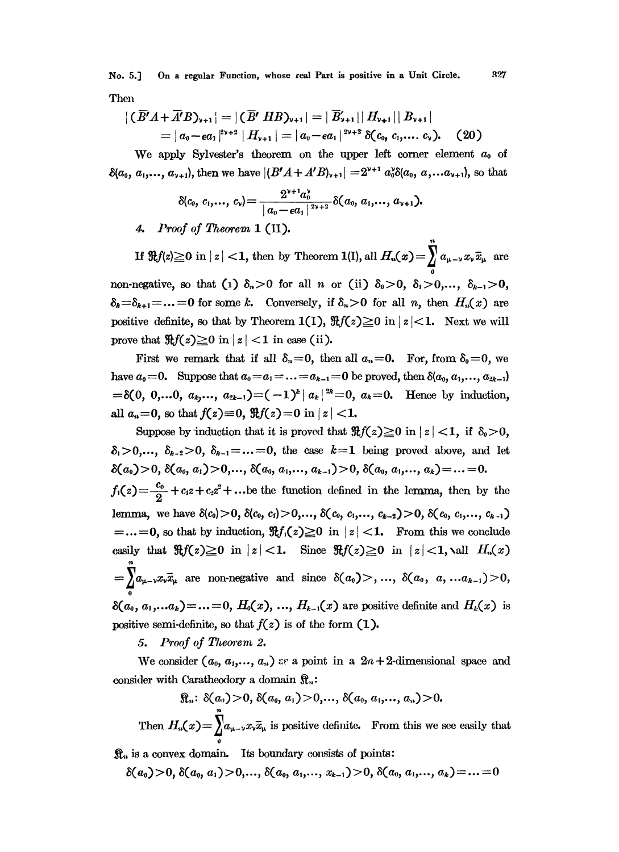On a regular Function, whose real Part is positive in a Unit Circle. No. 5.] Then

$$
|\overline{(B'A+\overline{A'}B)_{v+1}}|=|\overline{(B'}HB)_{v+1}|=|\overline{B}'_{v+1}||H_{v+1}||B_{v+1}|
$$
  
=  $|a_0-\epsilon a_1|^{2v+2}|H_{v+1}|=|a_0-\epsilon a_1|^{2v+2}\delta(c_0,c_1,...,c_v).$  (20)

We apply Sylvester's theorem on the upper left corner element  $a_0$  of  $\delta(a_0, a_1,..., a_{\nu+1})$ , then we have  $|(B'A + A'B)_{\nu+1}| = 2^{\nu+1} a_0^{\nu} \delta(a_0, a_1... a_{\nu+1})$ , so that

$$
\delta(c_0, c_1,..., c_{\nu}) = \frac{2^{\nu+1}a_0^{\nu}}{|a_0-\epsilon a_1|^{2\nu+2}}\delta(a_0, a_1,..., a_{\nu+1}).
$$

4. Proof of Theorem 1 (II).

If  $\Re f(z) \ge 0$  in  $|z| < 1$ , then by Theorem 1(I), all  $H_n(x) = \sum a_{\mu - \nu} x_{\nu} \bar{x}_{\mu}$  are non-negative, so that (1)  $\delta_n > 0$  for all *n* or (ii)  $\delta_0 > 0$ ,  $\delta_1 > 0, ..., \delta_{k-1} > 0$ ,  $\delta_k = \delta_{k+1} = ... = 0$  for some k. Conversely, if  $\delta_n > 0$  for all n, then  $H_n(x)$  are positive definite, so that by Theorem 1(1),  $\Re f(z) \ge 0$  in  $|z| < 1$ . Next we will prove that  $\Re f(z) \ge 0$  in  $|z| < 1$  in case (ii).

First we remark that if all  $\delta_n = 0$ , then all  $a_n = 0$ . For, from  $\delta_0 = 0$ , we have  $a_0=0$ . Suppose that  $a_0=a_1=\ldots=a_{k-1}=0$  be proved, then  $\delta(a_0, a_1, \ldots, a_{2k-1})$  $=\delta(0, 0,...0, a_k,..., a_{2k-1})=(-1)^k |a_k|^2=0, a_k=0.$  Hence by induction, all  $a_n = 0$ , so that  $f(z) = 0$ ,  $\Re f(z) = 0$  in  $|z| < 1$ .

Suppose by induction that it is proved that  $\Re f(z) \ge 0$  in  $|z| < 1$ , if  $\delta_0 > 0$ ,  $\delta_i > 0, \ldots, \delta_{k-2} > 0, \ \delta_{k-1} = \ldots = 0$ , the case  $k=1$  being proved above, and let  $\delta(a_0) > 0, \, \delta(a_0, a_1) > 0, \ldots, \, \delta(a_0, a_1, \ldots, a_{k-1}) > 0, \, \delta(a_0, a_1, \ldots, a_k) = \ldots = 0.$  $f_1(z) = \frac{c_0}{2} + c_1 z + c_2 z^2 + \ldots$  be the function defined in the lemma, then by the lemma, we have  $\delta(c_0) > 0$ ,  $\delta(c_0, c_1) > 0, ..., \delta(c_0, c_1, ..., c_{k-2}) > 0$ ,  $\delta(c_0, c_1, ..., c_{k-1})$  $=...=0$ , so that by induction,  $\Re f_1(z) \ge 0$  in  $|z| < 1$ . From this we conclude casily that  $\Re f(z) \ge 0$  in  $|z| < 1$ . Since  $\Re f(z) \ge 0$  in  $|z| < 1$ , all  $H_n(x)$  $=\sum a_{\mu-\nu}x_{\nu}\bar{x}_{\mu}$  are non-negative and since  $\delta(a_0)$ , ...,  $\delta(a_0, a_1...a_{k-1})$  > 0,  $\delta(a_0, a_1,...a_k) = ... = 0, H_0(x), ..., H_{k-1}(x)$  are positive definite and  $H_k(x)$  is positive semi-definite, so that  $f(z)$  is of the form (1).

5. Proof of Theorem 2.

We consider  $(a_0, a_1,..., a_n)$  as a point in a  $2n+2$ -dimensional space and consider with Caratheodory a domain  $\mathfrak{R}_n$ :

 $\mathfrak{R}_n$ :  $\delta(a_0) > 0$ ,  $\delta(a_0, a_1) > 0$ ,...,  $\delta(a_0, a_1, \ldots, a_n) > 0$ .

Then  $H_n(x) = \int_{-\infty}^{\infty} a_{\mu-\nu} x_{\nu} \overline{x}_{\mu}$  is positive definite. From this we see easily that

 $\mathcal{R}_n$  is a convex domain. Its boundary consists of points:

 $\delta(a_0) > 0, \, \delta(a_0, a_1) > 0, \ldots, \, \delta(a_0, a_1, \ldots, a_{k-1}) > 0, \, \delta(a_0, a_1, \ldots, a_k) = \ldots = 0$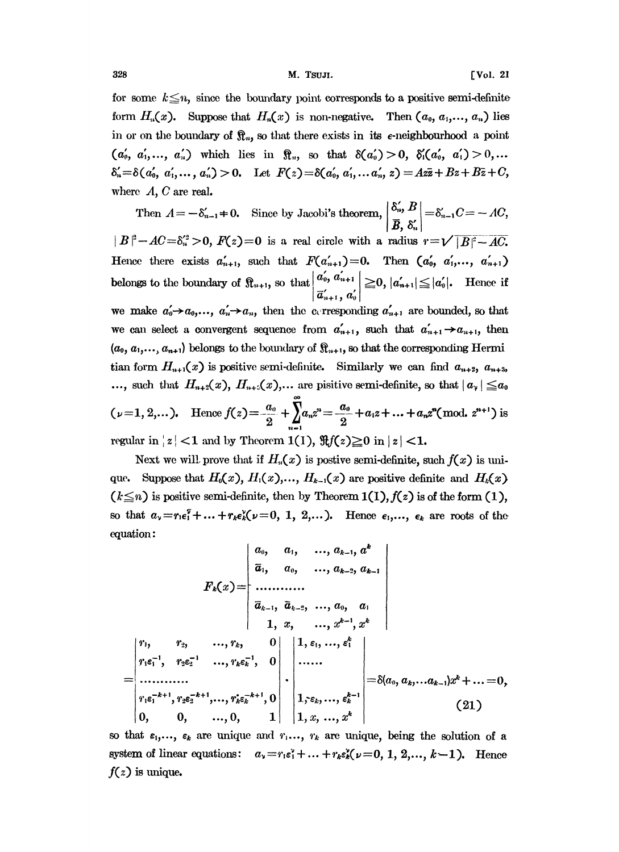for some  $k \leq n$ , since the boundary point corresponds to a positive semi-definite form  $H_n(x)$ . Suppose that  $H_n(x)$  is non-negative. Then  $(a_0, a_1,..., a_n)$  lies in or on the boundary of  $\mathfrak{R}_n$ , so that there exists in its e-neighbourhood a point  $(a'_0, a'_1,..., a'_n)$  which lies in  $\mathcal{R}_n$ , so that  $\delta(a'_0) > 0$ ,  $\delta'_1(a'_0, a'_1) > 0,...$  $\delta'_{n}=\delta(a'_{0}, a'_{1},..., a'_{n})>0$ . Let  $F(z)=\delta(a'_{0}, a'_{1},... a'_{n}, z)=Az\overline{z}+B\overline{z}+C$ , where  $A, C$  are real.

Then  $A=-\delta'_{n-1}+0$ . Since by Jacobi's theorem,  $\begin{vmatrix} \delta'_{n}, B \\ \overline{B}, \delta'_{n} \end{vmatrix} = \delta'_{n-1}C = -AC$ ,  $|B|^2 - AC = \delta_n^2 > 0$ ,  $F(z) = 0$  is a real circle with a radius  $r = \sqrt{|B|^2 - AC}$ . Hence there exists  $a'_{n+1}$ , such that  $F(a'_{n+1})=0$ . Then  $(a'_0, a'_1,..., a'_{n+1})$ belongs to the boundary of  $\left| \mathbb{R}_{n+1} \right|$ , so that  $\left| \frac{a_0, a_{n+1}}{a_0, a_{n+1}} \right| \geq 0$ ,  $|a'_{n+1}| \leq |a'_0|$ . Hence if  $a_{n+1}$ ,  $a_0$ we make  $a'_0 \rightarrow a_0, ..., a'_n \rightarrow a_n$ , then the eterosponding  $a'_{n+1}$  are bounded, so that we can select a convergent sequence from  $a'_{n+1}$ , such that  $a'_{n+1} \rightarrow a_{n+1}$ , then  $(a_0, a_1, \ldots, a_{n+1})$  belongs to the boundary of  $\mathbb{R}_{n+1}$ , so that the corresponding Hermi tian form  $H_{n+1}(x)$  is positive semi-definite. Similarly we can find  $a_{n+2}$ ,  $a_{n+3}$ , ..., such that  $H_{n+2}(x)$ ,  $H_{n+2}(x)$ ,... are pisitive semi-definite, so that  $|a_{\gamma}| \le a_0$  $(\nu=1, 2,...).$  Hence  $f(z)=\frac{a_0}{2}+\sum_{n=1}^{\infty}a_nz^n=\frac{a_0}{2}+a_1z+...+a_nz^n(\text{mod. }z^{n+1})$  is regular in  $|z|$  < 1 and by Theorem 1(1),  $\Re f(z) \ge 0$  in  $|z|$  < 1.

Next we will prove that if  $H<sub>n</sub>(x)$  is postive semi-definite, such  $f(x)$  is unique. Suppose that  $H_0(x)$ ,  $H_1(x)$ ,...,  $H_{k-1}(x)$  are positive definite and Next we will prove that if  $H_n(x)$  is postive semi-definite, such  $f(x)$  is unique.<br>
Suppose that  $H_0(x)$ ,  $H_1(x)$ ,...,  $H_{k-1}(x)$  are positive definite and  $H_k(x)$ <br>  $(k \le n)$  is positive semi-definite, then by Theorem 1(1), so that  $a_{\nu} = r_1 \epsilon_1^{\nu} + ... + r_k \epsilon_k^{\nu} (\nu = 0, 1, 2, ...)$ . Hence  $\epsilon_1,..., \epsilon_k$  are roots of the equation:

$$
F_k(x) = \begin{vmatrix} a_0, & a_1, & \dots, a_{k-1}, a^k \\ \overline{a}_1, & a_0, & \dots, a_{k-2}, a_{k-1} \\ \vdots & \vdots & \ddots & \vdots \\ a_{k-1}, & \overline{a}_{k-2}, & \dots, a_0, & a_1 \\ 1, & x, & \dots, x^{k-1}, x^k \\ r_1 \epsilon_1^{-1}, & r_2 \epsilon_2^{-1}, & \dots, r_k \epsilon_k^{-1}, & 0 \\ \vdots & \vdots & \vdots & \ddots & \vdots \\ r_1 \epsilon_1^{-k+1}, r_2 \epsilon_2^{-k+1}, \dots, r_k \epsilon_k^{-k+1}, 0 & \vdots \\ 0, & 0, & \dots, 0, & 1 \end{vmatrix} = \delta(a_0, a_k, \dots a_{k-1})x^k + \dots = 0,
$$
\n
$$
(21)
$$

so that  $\varepsilon_1, ..., \varepsilon_k$  are unique and  $r_1, ..., r_k$  are unique, being the solution of a system of linear equations:  $a_v=r_1\varepsilon_1^v+\ldots+r_k\varepsilon_k^v(\nu=0, 1, 2,\ldots, k-1)$ . Hence  $f(z)$  is unique.